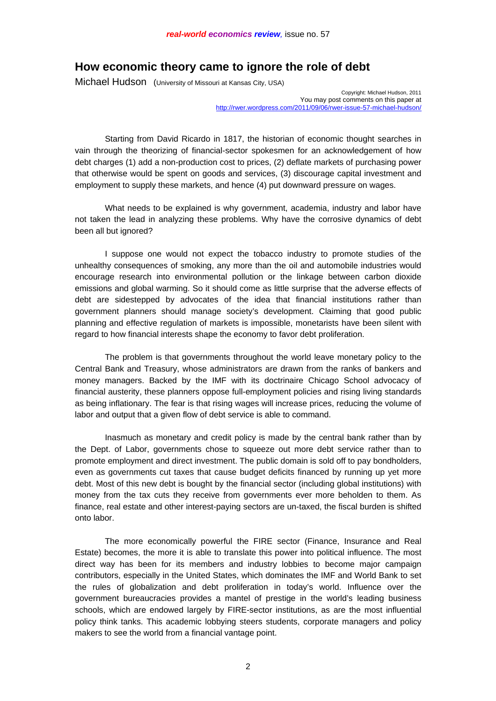# **How economic theory came to ignore the role of debt**

Michael Hudson (University of Missouri at Kansas City, USA)

 Starting from David Ricardo in 1817, the historian of economic thought searches in vain through the theorizing of financial-sector spokesmen for an acknowledgement of how debt charges (1) add a non-production cost to prices, (2) deflate markets of purchasing power that otherwise would be spent on goods and services, (3) discourage capital investment and employment to supply these markets, and hence (4) put downward pressure on wages.

 What needs to be explained is why government, academia, industry and labor have not taken the lead in analyzing these problems. Why have the corrosive dynamics of debt been all but ignored?

 I suppose one would not expect the tobacco industry to promote studies of the unhealthy consequences of smoking, any more than the oil and automobile industries would encourage research into environmental pollution or the linkage between carbon dioxide emissions and global warming. So it should come as little surprise that the adverse effects of debt are sidestepped by advocates of the idea that financial institutions rather than government planners should manage society's development. Claiming that good public planning and effective regulation of markets is impossible, monetarists have been silent with regard to how financial interests shape the economy to favor debt proliferation.

 The problem is that governments throughout the world leave monetary policy to the Central Bank and Treasury, whose administrators are drawn from the ranks of bankers and money managers. Backed by the IMF with its doctrinaire Chicago School advocacy of financial austerity, these planners oppose full-employment policies and rising living standards as being inflationary. The fear is that rising wages will increase prices, reducing the volume of labor and output that a given flow of debt service is able to command.

 Inasmuch as monetary and credit policy is made by the central bank rather than by the Dept. of Labor, governments chose to squeeze out more debt service rather than to promote employment and direct investment. The public domain is sold off to pay bondholders, even as governments cut taxes that cause budget deficits financed by running up yet more debt. Most of this new debt is bought by the financial sector (including global institutions) with money from the tax cuts they receive from governments ever more beholden to them. As finance, real estate and other interest-paying sectors are un-taxed, the fiscal burden is shifted onto labor.

 The more economically powerful the FIRE sector (Finance, Insurance and Real Estate) becomes, the more it is able to translate this power into political influence. The most direct way has been for its members and industry lobbies to become major campaign contributors, especially in the United States, which dominates the IMF and World Bank to set the rules of globalization and debt proliferation in today's world. Influence over the government bureaucracies provides a mantel of prestige in the world's leading business schools, which are endowed largely by FIRE-sector institutions, as are the most influential policy think tanks. This academic lobbying steers students, corporate managers and policy makers to see the world from a financial vantage point.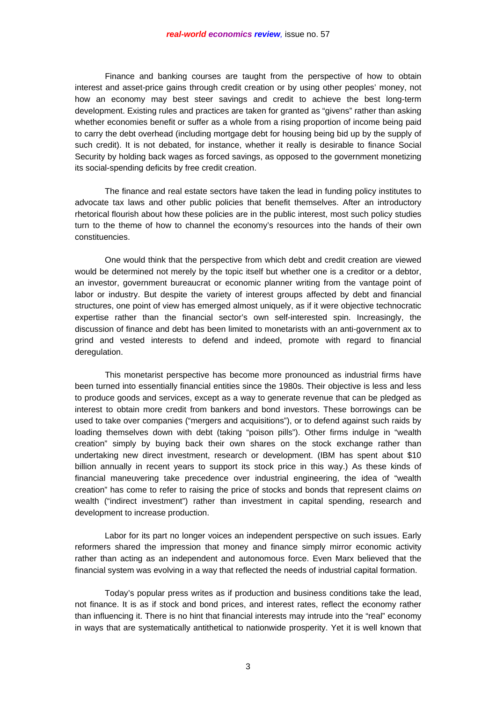Finance and banking courses are taught from the perspective of how to obtain interest and asset-price gains through credit creation or by using other peoples' money, not how an economy may best steer savings and credit to achieve the best long-term development. Existing rules and practices are taken for granted as "givens" rather than asking whether economies benefit or suffer as a whole from a rising proportion of income being paid to carry the debt overhead (including mortgage debt for housing being bid up by the supply of such credit). It is not debated, for instance, whether it really is desirable to finance Social Security by holding back wages as forced savings, as opposed to the government monetizing its social-spending deficits by free credit creation.

 The finance and real estate sectors have taken the lead in funding policy institutes to advocate tax laws and other public policies that benefit themselves. After an introductory rhetorical flourish about how these policies are in the public interest, most such policy studies turn to the theme of how to channel the economy's resources into the hands of their own constituencies.

 One would think that the perspective from which debt and credit creation are viewed would be determined not merely by the topic itself but whether one is a creditor or a debtor, an investor, government bureaucrat or economic planner writing from the vantage point of labor or industry. But despite the variety of interest groups affected by debt and financial structures, one point of view has emerged almost uniquely, as if it were objective technocratic expertise rather than the financial sector's own self-interested spin. Increasingly, the discussion of finance and debt has been limited to monetarists with an anti-government ax to grind and vested interests to defend and indeed, promote with regard to financial deregulation.

 This monetarist perspective has become more pronounced as industrial firms have been turned into essentially financial entities since the 1980s. Their objective is less and less to produce goods and services, except as a way to generate revenue that can be pledged as interest to obtain more credit from bankers and bond investors. These borrowings can be used to take over companies ("mergers and acquisitions"), or to defend against such raids by loading themselves down with debt (taking "poison pills"). Other firms indulge in "wealth creation" simply by buying back their own shares on the stock exchange rather than undertaking new direct investment, research or development. (IBM has spent about \$10 billion annually in recent years to support its stock price in this way.) As these kinds of financial maneuvering take precedence over industrial engineering, the idea of "wealth creation" has come to refer to raising the price of stocks and bonds that represent claims *on* wealth ("indirect investment") rather than investment in capital spending, research and development to increase production.

 Labor for its part no longer voices an independent perspective on such issues. Early reformers shared the impression that money and finance simply mirror economic activity rather than acting as an independent and autonomous force. Even Marx believed that the financial system was evolving in a way that reflected the needs of industrial capital formation.

 Today's popular press writes as if production and business conditions take the lead, not finance. It is as if stock and bond prices, and interest rates, reflect the economy rather than influencing it. There is no hint that financial interests may intrude into the "real" economy in ways that are systematically antithetical to nationwide prosperity. Yet it is well known that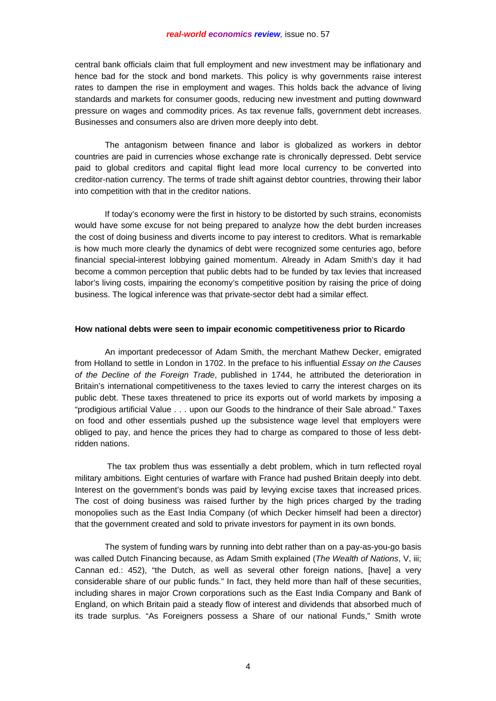central bank officials claim that full employment and new investment may be inflationary and hence bad for the stock and bond markets. This policy is why governments raise interest rates to dampen the rise in employment and wages. This holds back the advance of living standards and markets for consumer goods, reducing new investment and putting downward pressure on wages and commodity prices. As tax revenue falls, government debt increases. Businesses and consumers also are driven more deeply into debt.

 The antagonism between finance and labor is globalized as workers in debtor countries are paid in currencies whose exchange rate is chronically depressed. Debt service paid to global creditors and capital flight lead more local currency to be converted into creditor-nation currency. The terms of trade shift against debtor countries, throwing their labor into competition with that in the creditor nations.

 If today's economy were the first in history to be distorted by such strains, economists would have some excuse for not being prepared to analyze how the debt burden increases the cost of doing business and diverts income to pay interest to creditors. What is remarkable is how much more clearly the dynamics of debt were recognized some centuries ago, before financial special-interest lobbying gained momentum. Already in Adam Smith's day it had become a common perception that public debts had to be funded by tax levies that increased labor's living costs, impairing the economy's competitive position by raising the price of doing business. The logical inference was that private-sector debt had a similar effect.

#### **How national debts were seen to impair economic competitiveness prior to Ricardo**

 An important predecessor of Adam Smith, the merchant Mathew Decker, emigrated from Holland to settle in London in 1702. In the preface to his influential *Essay on the Causes of the Decline of the Foreign Trade*, published in 1744, he attributed the deterioration in Britain's international competitiveness to the taxes levied to carry the interest charges on its public debt. These taxes threatened to price its exports out of world markets by imposing a "prodigious artificial Value . . . upon our Goods to the hindrance of their Sale abroad." Taxes on food and other essentials pushed up the subsistence wage level that employers were obliged to pay, and hence the prices they had to charge as compared to those of less debtridden nations.

 The tax problem thus was essentially a debt problem, which in turn reflected royal military ambitions. Eight centuries of warfare with France had pushed Britain deeply into debt. Interest on the government's bonds was paid by levying excise taxes that increased prices. The cost of doing business was raised further by the high prices charged by the trading monopolies such as the East India Company (of which Decker himself had been a director) that the government created and sold to private investors for payment in its own bonds.

 The system of funding wars by running into debt rather than on a pay-as-you-go basis was called Dutch Financing because, as Adam Smith explained (*The Wealth of Nations*, V, iii; Cannan ed.: 452), "the Dutch, as well as several other foreign nations, [have] a very considerable share of our public funds." In fact, they held more than half of these securities, including shares in major Crown corporations such as the East India Company and Bank of England, on which Britain paid a steady flow of interest and dividends that absorbed much of its trade surplus. "As Foreigners possess a Share of our national Funds," Smith wrote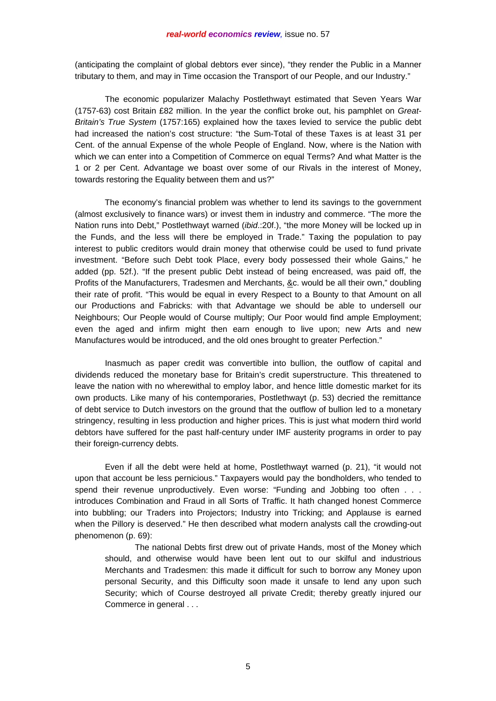(anticipating the complaint of global debtors ever since), "they render the Public in a Manner tributary to them, and may in Time occasion the Transport of our People, and our Industry."

 The economic popularizer Malachy Postlethwayt estimated that Seven Years War (1757-63) cost Britain £82 million. In the year the conflict broke out, his pamphlet on *Great-Britain's True System* (1757:165) explained how the taxes levied to service the public debt had increased the nation's cost structure: "the Sum-Total of these Taxes is at least 31 per Cent. of the annual Expense of the whole People of England. Now, where is the Nation with which we can enter into a Competition of Commerce on equal Terms? And what Matter is the 1 or 2 per Cent. Advantage we boast over some of our Rivals in the interest of Money, towards restoring the Equality between them and us?"

 The economy's financial problem was whether to lend its savings to the government (almost exclusively to finance wars) or invest them in industry and commerce. "The more the Nation runs into Debt," Postlethwayt warned (*ibid*.:20f.), "the more Money will be locked up in the Funds, and the less will there be employed in Trade." Taxing the population to pay interest to public creditors would drain money that otherwise could be used to fund private investment. "Before such Debt took Place, every body possessed their whole Gains," he added (pp. 52f.). "If the present public Debt instead of being encreased, was paid off, the Profits of the Manufacturers, Tradesmen and Merchants, &c. would be all their own," doubling their rate of profit. "This would be equal in every Respect to a Bounty to that Amount on all our Productions and Fabricks: with that Advantage we should be able to undersell our Neighbours; Our People would of Course multiply; Our Poor would find ample Employment; even the aged and infirm might then earn enough to live upon; new Arts and new Manufactures would be introduced, and the old ones brought to greater Perfection."

 Inasmuch as paper credit was convertible into bullion, the outflow of capital and dividends reduced the monetary base for Britain's credit superstructure. This threatened to leave the nation with no wherewithal to employ labor, and hence little domestic market for its own products. Like many of his contemporaries, Postlethwayt (p. 53) decried the remittance of debt service to Dutch investors on the ground that the outflow of bullion led to a monetary stringency, resulting in less production and higher prices. This is just what modern third world debtors have suffered for the past half-century under IMF austerity programs in order to pay their foreign-currency debts.

 Even if all the debt were held at home, Postlethwayt warned (p. 21), "it would not upon that account be less pernicious." Taxpayers would pay the bondholders, who tended to spend their revenue unproductively. Even worse: "Funding and Jobbing too often . . . introduces Combination and Fraud in all Sorts of Traffic. It hath changed honest Commerce into bubbling; our Traders into Projectors; Industry into Tricking; and Applause is earned when the Pillory is deserved." He then described what modern analysts call the crowding-out phenomenon (p. 69):

 The national Debts first drew out of private Hands, most of the Money which should, and otherwise would have been lent out to our skilful and industrious Merchants and Tradesmen: this made it difficult for such to borrow any Money upon personal Security, and this Difficulty soon made it unsafe to lend any upon such Security; which of Course destroyed all private Credit; thereby greatly injured our Commerce in general . . .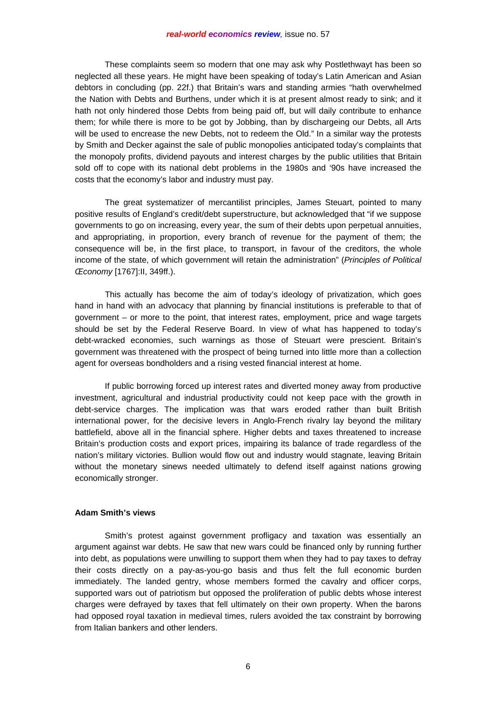These complaints seem so modern that one may ask why Postlethwayt has been so neglected all these years. He might have been speaking of today's Latin American and Asian debtors in concluding (pp. 22f.) that Britain's wars and standing armies "hath overwhelmed the Nation with Debts and Burthens, under which it is at present almost ready to sink; and it hath not only hindered those Debts from being paid off, but will daily contribute to enhance them; for while there is more to be got by Jobbing, than by dischargeing our Debts, all Arts will be used to encrease the new Debts, not to redeem the Old." In a similar way the protests by Smith and Decker against the sale of public monopolies anticipated today's complaints that the monopoly profits, dividend payouts and interest charges by the public utilities that Britain sold off to cope with its national debt problems in the 1980s and '90s have increased the costs that the economy's labor and industry must pay.

 The great systematizer of mercantilist principles, James Steuart, pointed to many positive results of England's credit/debt superstructure, but acknowledged that "if we suppose governments to go on increasing, every year, the sum of their debts upon perpetual annuities, and appropriating, in proportion, every branch of revenue for the payment of them; the consequence will be, in the first place, to transport, in favour of the creditors, the whole income of the state, of which government will retain the administration" (*Principles of Political Œconomy* [1767]:II, 349ff.).

 This actually has become the aim of today's ideology of privatization, which goes hand in hand with an advocacy that planning by financial institutions is preferable to that of government – or more to the point, that interest rates, employment, price and wage targets should be set by the Federal Reserve Board. In view of what has happened to today's debt-wracked economies, such warnings as those of Steuart were prescient. Britain's government was threatened with the prospect of being turned into little more than a collection agent for overseas bondholders and a rising vested financial interest at home.

 If public borrowing forced up interest rates and diverted money away from productive investment, agricultural and industrial productivity could not keep pace with the growth in debt-service charges. The implication was that wars eroded rather than built British international power, for the decisive levers in Anglo-French rivalry lay beyond the military battlefield, above all in the financial sphere. Higher debts and taxes threatened to increase Britain's production costs and export prices, impairing its balance of trade regardless of the nation's military victories. Bullion would flow out and industry would stagnate, leaving Britain without the monetary sinews needed ultimately to defend itself against nations growing economically stronger.

#### **Adam Smith's views**

 Smith's protest against government profligacy and taxation was essentially an argument against war debts. He saw that new wars could be financed only by running further into debt, as populations were unwilling to support them when they had to pay taxes to defray their costs directly on a pay-as-you-go basis and thus felt the full economic burden immediately. The landed gentry, whose members formed the cavalry and officer corps, supported wars out of patriotism but opposed the proliferation of public debts whose interest charges were defrayed by taxes that fell ultimately on their own property. When the barons had opposed royal taxation in medieval times, rulers avoided the tax constraint by borrowing from Italian bankers and other lenders.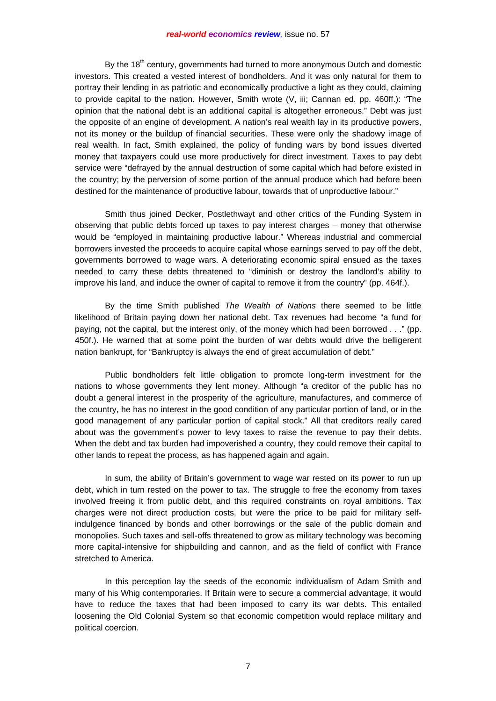By the  $18<sup>th</sup>$  century, governments had turned to more anonymous Dutch and domestic investors. This created a vested interest of bondholders. And it was only natural for them to portray their lending in as patriotic and economically productive a light as they could, claiming to provide capital to the nation. However, Smith wrote (V, iii; Cannan ed. pp. 460ff.): "The opinion that the national debt is an additional capital is altogether erroneous." Debt was just the opposite of an engine of development. A nation's real wealth lay in its productive powers, not its money or the buildup of financial securities. These were only the shadowy image of real wealth. In fact, Smith explained, the policy of funding wars by bond issues diverted money that taxpayers could use more productively for direct investment. Taxes to pay debt service were "defrayed by the annual destruction of some capital which had before existed in the country; by the perversion of some portion of the annual produce which had before been destined for the maintenance of productive labour, towards that of unproductive labour."

 Smith thus joined Decker, Postlethwayt and other critics of the Funding System in observing that public debts forced up taxes to pay interest charges – money that otherwise would be "employed in maintaining productive labour." Whereas industrial and commercial borrowers invested the proceeds to acquire capital whose earnings served to pay off the debt, governments borrowed to wage wars. A deteriorating economic spiral ensued as the taxes needed to carry these debts threatened to "diminish or destroy the landlord's ability to improve his land, and induce the owner of capital to remove it from the country" (pp. 464f.).

 By the time Smith published *The Wealth of Nations* there seemed to be little likelihood of Britain paying down her national debt. Tax revenues had become "a fund for paying, not the capital, but the interest only, of the money which had been borrowed . . ." (pp. 450f.). He warned that at some point the burden of war debts would drive the belligerent nation bankrupt, for "Bankruptcy is always the end of great accumulation of debt."

 Public bondholders felt little obligation to promote long-term investment for the nations to whose governments they lent money. Although "a creditor of the public has no doubt a general interest in the prosperity of the agriculture, manufactures, and commerce of the country, he has no interest in the good condition of any particular portion of land, or in the good management of any particular portion of capital stock." All that creditors really cared about was the government's power to levy taxes to raise the revenue to pay their debts. When the debt and tax burden had impoverished a country, they could remove their capital to other lands to repeat the process, as has happened again and again.

 In sum, the ability of Britain's government to wage war rested on its power to run up debt, which in turn rested on the power to tax. The struggle to free the economy from taxes involved freeing it from public debt, and this required constraints on royal ambitions. Tax charges were not direct production costs, but were the price to be paid for military selfindulgence financed by bonds and other borrowings or the sale of the public domain and monopolies. Such taxes and sell-offs threatened to grow as military technology was becoming more capital-intensive for shipbuilding and cannon, and as the field of conflict with France stretched to America.

 In this perception lay the seeds of the economic individualism of Adam Smith and many of his Whig contemporaries. If Britain were to secure a commercial advantage, it would have to reduce the taxes that had been imposed to carry its war debts. This entailed loosening the Old Colonial System so that economic competition would replace military and political coercion.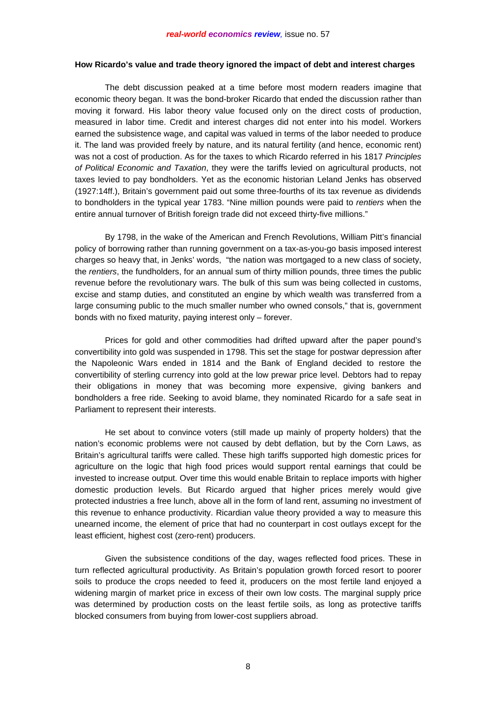### **How Ricardo's value and trade theory ignored the impact of debt and interest charges**

 The debt discussion peaked at a time before most modern readers imagine that economic theory began. It was the bond-broker Ricardo that ended the discussion rather than moving it forward. His labor theory value focused only on the direct costs of production, measured in labor time. Credit and interest charges did not enter into his model. Workers earned the subsistence wage, and capital was valued in terms of the labor needed to produce it. The land was provided freely by nature, and its natural fertility (and hence, economic rent) was not a cost of production. As for the taxes to which Ricardo referred in his 1817 *Principles of Political Economic and Taxation*, they were the tariffs levied on agricultural products, not taxes levied to pay bondholders. Yet as the economic historian Leland Jenks has observed (1927:14ff.), Britain's government paid out some three-fourths of its tax revenue as dividends to bondholders in the typical year 1783. "Nine million pounds were paid to *rentiers* when the entire annual turnover of British foreign trade did not exceed thirty-five millions."

 By 1798, in the wake of the American and French Revolutions, William Pitt's financial policy of borrowing rather than running government on a tax-as-you-go basis imposed interest charges so heavy that, in Jenks' words, "the nation was mortgaged to a new class of society, the *rentiers*, the fundholders, for an annual sum of thirty million pounds, three times the public revenue before the revolutionary wars. The bulk of this sum was being collected in customs, excise and stamp duties, and constituted an engine by which wealth was transferred from a large consuming public to the much smaller number who owned consols," that is, government bonds with no fixed maturity, paying interest only – forever.

 Prices for gold and other commodities had drifted upward after the paper pound's convertibility into gold was suspended in 1798. This set the stage for postwar depression after the Napoleonic Wars ended in 1814 and the Bank of England decided to restore the convertibility of sterling currency into gold at the low prewar price level. Debtors had to repay their obligations in money that was becoming more expensive, giving bankers and bondholders a free ride. Seeking to avoid blame, they nominated Ricardo for a safe seat in Parliament to represent their interests.

 He set about to convince voters (still made up mainly of property holders) that the nation's economic problems were not caused by debt deflation, but by the Corn Laws, as Britain's agricultural tariffs were called. These high tariffs supported high domestic prices for agriculture on the logic that high food prices would support rental earnings that could be invested to increase output. Over time this would enable Britain to replace imports with higher domestic production levels. But Ricardo argued that higher prices merely would give protected industries a free lunch, above all in the form of land rent, assuming no investment of this revenue to enhance productivity. Ricardian value theory provided a way to measure this unearned income, the element of price that had no counterpart in cost outlays except for the least efficient, highest cost (zero-rent) producers.

 Given the subsistence conditions of the day, wages reflected food prices. These in turn reflected agricultural productivity. As Britain's population growth forced resort to poorer soils to produce the crops needed to feed it, producers on the most fertile land enjoyed a widening margin of market price in excess of their own low costs. The marginal supply price was determined by production costs on the least fertile soils, as long as protective tariffs blocked consumers from buying from lower-cost suppliers abroad.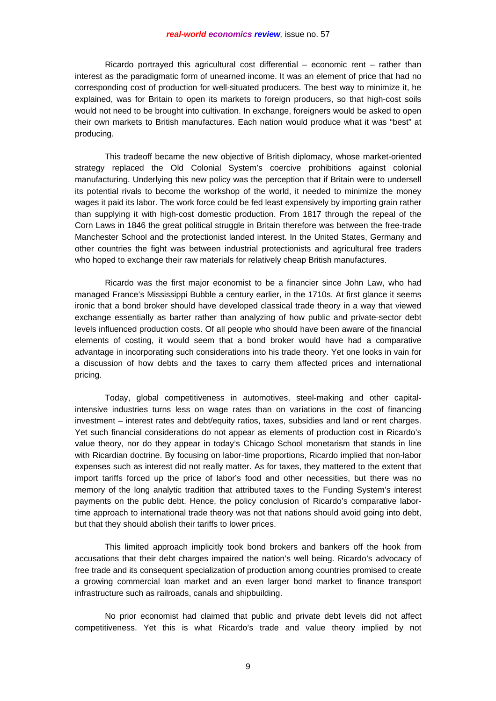Ricardo portrayed this agricultural cost differential – economic rent – rather than interest as the paradigmatic form of unearned income. It was an element of price that had no corresponding cost of production for well-situated producers. The best way to minimize it, he explained, was for Britain to open its markets to foreign producers, so that high-cost soils would not need to be brought into cultivation. In exchange, foreigners would be asked to open their own markets to British manufactures. Each nation would produce what it was "best" at producing.

 This tradeoff became the new objective of British diplomacy, whose market-oriented strategy replaced the Old Colonial System's coercive prohibitions against colonial manufacturing. Underlying this new policy was the perception that if Britain were to undersell its potential rivals to become the workshop of the world, it needed to minimize the money wages it paid its labor. The work force could be fed least expensively by importing grain rather than supplying it with high-cost domestic production. From 1817 through the repeal of the Corn Laws in 1846 the great political struggle in Britain therefore was between the free-trade Manchester School and the protectionist landed interest. In the United States, Germany and other countries the fight was between industrial protectionists and agricultural free traders who hoped to exchange their raw materials for relatively cheap British manufactures.

 Ricardo was the first major economist to be a financier since John Law, who had managed France's Mississippi Bubble a century earlier, in the 1710s. At first glance it seems ironic that a bond broker should have developed classical trade theory in a way that viewed exchange essentially as barter rather than analyzing of how public and private-sector debt levels influenced production costs. Of all people who should have been aware of the financial elements of costing, it would seem that a bond broker would have had a comparative advantage in incorporating such considerations into his trade theory. Yet one looks in vain for a discussion of how debts and the taxes to carry them affected prices and international pricing.

 Today, global competitiveness in automotives, steel-making and other capitalintensive industries turns less on wage rates than on variations in the cost of financing investment – interest rates and debt/equity ratios, taxes, subsidies and land or rent charges. Yet such financial considerations do not appear as elements of production cost in Ricardo's value theory, nor do they appear in today's Chicago School monetarism that stands in line with Ricardian doctrine. By focusing on labor-time proportions, Ricardo implied that non-labor expenses such as interest did not really matter. As for taxes, they mattered to the extent that import tariffs forced up the price of labor's food and other necessities, but there was no memory of the long analytic tradition that attributed taxes to the Funding System's interest payments on the public debt. Hence, the policy conclusion of Ricardo's comparative labortime approach to international trade theory was not that nations should avoid going into debt, but that they should abolish their tariffs to lower prices.

 This limited approach implicitly took bond brokers and bankers off the hook from accusations that their debt charges impaired the nation's well being. Ricardo's advocacy of free trade and its consequent specialization of production among countries promised to create a growing commercial loan market and an even larger bond market to finance transport infrastructure such as railroads, canals and shipbuilding.

 No prior economist had claimed that public and private debt levels did not affect competitiveness. Yet this is what Ricardo's trade and value theory implied by not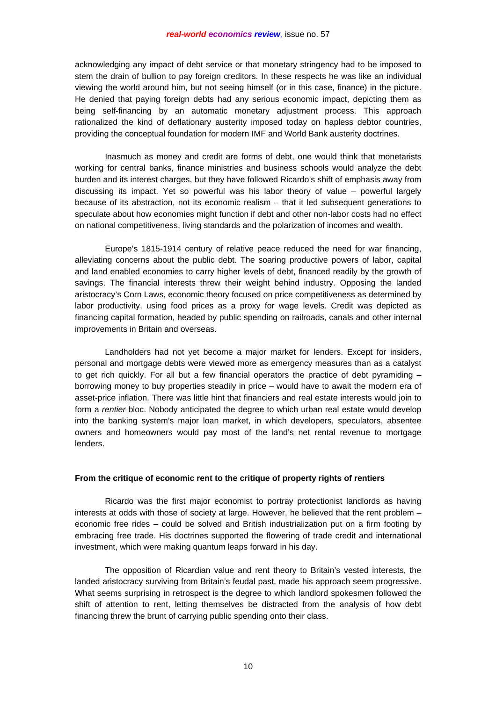acknowledging any impact of debt service or that monetary stringency had to be imposed to stem the drain of bullion to pay foreign creditors. In these respects he was like an individual viewing the world around him, but not seeing himself (or in this case, finance) in the picture. He denied that paying foreign debts had any serious economic impact, depicting them as being self-financing by an automatic monetary adjustment process. This approach rationalized the kind of deflationary austerity imposed today on hapless debtor countries, providing the conceptual foundation for modern IMF and World Bank austerity doctrines.

 Inasmuch as money and credit are forms of debt, one would think that monetarists working for central banks, finance ministries and business schools would analyze the debt burden and its interest charges, but they have followed Ricardo's shift of emphasis away from discussing its impact. Yet so powerful was his labor theory of value – powerful largely because of its abstraction, not its economic realism – that it led subsequent generations to speculate about how economies might function if debt and other non-labor costs had no effect on national competitiveness, living standards and the polarization of incomes and wealth.

 Europe's 1815-1914 century of relative peace reduced the need for war financing, alleviating concerns about the public debt. The soaring productive powers of labor, capital and land enabled economies to carry higher levels of debt, financed readily by the growth of savings. The financial interests threw their weight behind industry. Opposing the landed aristocracy's Corn Laws, economic theory focused on price competitiveness as determined by labor productivity, using food prices as a proxy for wage levels. Credit was depicted as financing capital formation, headed by public spending on railroads, canals and other internal improvements in Britain and overseas.

 Landholders had not yet become a major market for lenders. Except for insiders, personal and mortgage debts were viewed more as emergency measures than as a catalyst to get rich quickly. For all but a few financial operators the practice of debt pyramiding – borrowing money to buy properties steadily in price – would have to await the modern era of asset-price inflation. There was little hint that financiers and real estate interests would join to form a *rentier* bloc. Nobody anticipated the degree to which urban real estate would develop into the banking system's major loan market, in which developers, speculators, absentee owners and homeowners would pay most of the land's net rental revenue to mortgage lenders.

#### **From the critique of economic rent to the critique of property rights of rentiers**

 Ricardo was the first major economist to portray protectionist landlords as having interests at odds with those of society at large. However, he believed that the rent problem – economic free rides – could be solved and British industrialization put on a firm footing by embracing free trade. His doctrines supported the flowering of trade credit and international investment, which were making quantum leaps forward in his day.

 The opposition of Ricardian value and rent theory to Britain's vested interests, the landed aristocracy surviving from Britain's feudal past, made his approach seem progressive. What seems surprising in retrospect is the degree to which landlord spokesmen followed the shift of attention to rent, letting themselves be distracted from the analysis of how debt financing threw the brunt of carrying public spending onto their class.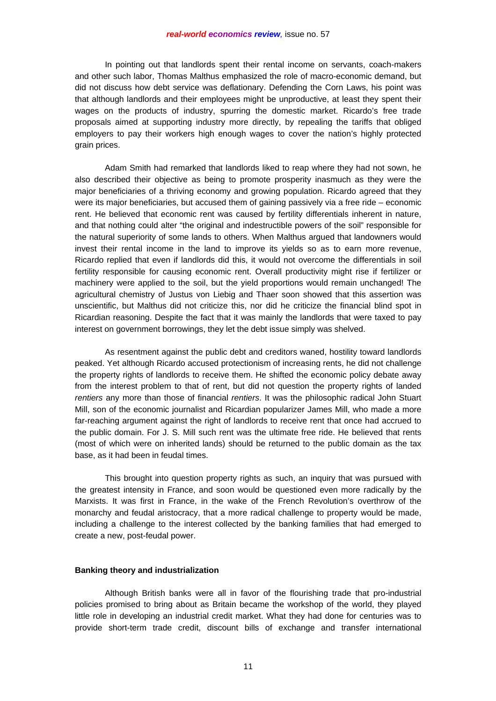In pointing out that landlords spent their rental income on servants, coach-makers and other such labor, Thomas Malthus emphasized the role of macro-economic demand, but did not discuss how debt service was deflationary. Defending the Corn Laws, his point was that although landlords and their employees might be unproductive, at least they spent their wages on the products of industry, spurring the domestic market. Ricardo's free trade proposals aimed at supporting industry more directly, by repealing the tariffs that obliged employers to pay their workers high enough wages to cover the nation's highly protected grain prices.

 Adam Smith had remarked that landlords liked to reap where they had not sown, he also described their objective as being to promote prosperity inasmuch as they were the major beneficiaries of a thriving economy and growing population. Ricardo agreed that they were its major beneficiaries, but accused them of gaining passively via a free ride – economic rent. He believed that economic rent was caused by fertility differentials inherent in nature, and that nothing could alter "the original and indestructible powers of the soil" responsible for the natural superiority of some lands to others. When Malthus argued that landowners would invest their rental income in the land to improve its yields so as to earn more revenue, Ricardo replied that even if landlords did this, it would not overcome the differentials in soil fertility responsible for causing economic rent. Overall productivity might rise if fertilizer or machinery were applied to the soil, but the yield proportions would remain unchanged! The agricultural chemistry of Justus von Liebig and Thaer soon showed that this assertion was unscientific, but Malthus did not criticize this, nor did he criticize the financial blind spot in Ricardian reasoning. Despite the fact that it was mainly the landlords that were taxed to pay interest on government borrowings, they let the debt issue simply was shelved.

 As resentment against the public debt and creditors waned, hostility toward landlords peaked. Yet although Ricardo accused protectionism of increasing rents, he did not challenge the property rights of landlords to receive them. He shifted the economic policy debate away from the interest problem to that of rent, but did not question the property rights of landed *rentiers* any more than those of financial *rentiers*. It was the philosophic radical John Stuart Mill, son of the economic journalist and Ricardian popularizer James Mill, who made a more far-reaching argument against the right of landlords to receive rent that once had accrued to the public domain. For J. S. Mill such rent was the ultimate free ride. He believed that rents (most of which were on inherited lands) should be returned to the public domain as the tax base, as it had been in feudal times.

 This brought into question property rights as such, an inquiry that was pursued with the greatest intensity in France, and soon would be questioned even more radically by the Marxists. It was first in France, in the wake of the French Revolution's overthrow of the monarchy and feudal aristocracy, that a more radical challenge to property would be made, including a challenge to the interest collected by the banking families that had emerged to create a new, post-feudal power.

#### **Banking theory and industrialization**

 Although British banks were all in favor of the flourishing trade that pro-industrial policies promised to bring about as Britain became the workshop of the world, they played little role in developing an industrial credit market. What they had done for centuries was to provide short-term trade credit, discount bills of exchange and transfer international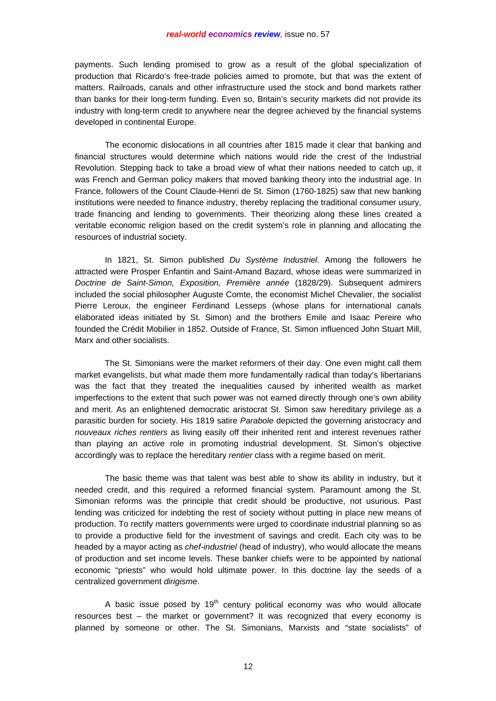payments. Such lending promised to grow as a result of the global specialization of production that Ricardo's free-trade policies aimed to promote, but that was the extent of matters. Railroads, canals and other infrastructure used the stock and bond markets rather than banks for their long-term funding. Even so, Britain's security markets did not provide its industry with long-term credit to anywhere near the degree achieved by the financial systems developed in continental Europe.

 The economic dislocations in all countries after 1815 made it clear that banking and financial structures would determine which nations would ride the crest of the Industrial Revolution. Stepping back to take a broad view of what their nations needed to catch up, it was French and German policy makers that moved banking theory into the industrial age. In France, followers of the Count Claude-Henri de St. Simon (1760-1825) saw that new banking institutions were needed to finance industry, thereby replacing the traditional consumer usury, trade financing and lending to governments. Their theorizing along these lines created a veritable economic religion based on the credit system's role in planning and allocating the resources of industrial society.

 In 1821, St. Simon published *Du Système Industriel*. Among the followers he attracted were Prosper Enfantin and Saint-Amand Bazard, whose ideas were summarized in *Doctrine de Saint-Simon, Exposition, Première année* (1828/29). Subsequent admirers included the social philosopher Auguste Comte, the economist Michel Chevalier, the socialist Pierre Leroux, the engineer Ferdinand Lesseps (whose plans for international canals elaborated ideas initiated by St. Simon) and the brothers Emile and Isaac Pereire who founded the Crédit Mobilier in 1852. Outside of France, St. Simon influenced John Stuart Mill, Marx and other socialists.

 The St. Simonians were the market reformers of their day. One even might call them market evangelists, but what made them more fundamentally radical than today's libertarians was the fact that they treated the inequalities caused by inherited wealth as market imperfections to the extent that such power was not earned directly through one's own ability and merit. As an enlightened democratic aristocrat St. Simon saw hereditary privilege as a parasitic burden for society. His 1819 satire *Parabole* depicted the governing aristocracy and *nouveaux riches rentiers* as living easily off their inherited rent and interest revenues rather than playing an active role in promoting industrial development. St. Simon's objective accordingly was to replace the hereditary *rentier* class with a regime based on merit.

 The basic theme was that talent was best able to show its ability in industry, but it needed credit, and this required a reformed financial system. Paramount among the St. Simonian reforms was the principle that credit should be productive, not usurious. Past lending was criticized for indebting the rest of society without putting in place new means of production. To rectify matters governments were urged to coordinate industrial planning so as to provide a productive field for the investment of savings and credit. Each city was to be headed by a mayor acting as *chef-industriel* (head of industry), who would allocate the means of production and set income levels. These banker chiefs were to be appointed by national economic "priests" who would hold ultimate power. In this doctrine lay the seeds of a centralized government *dirigisme*.

A basic issue posed by  $19<sup>th</sup>$  century political economy was who would allocate resources best – the market or government? It was recognized that every economy is planned by someone or other. The St. Simonians, Marxists and "state socialists" of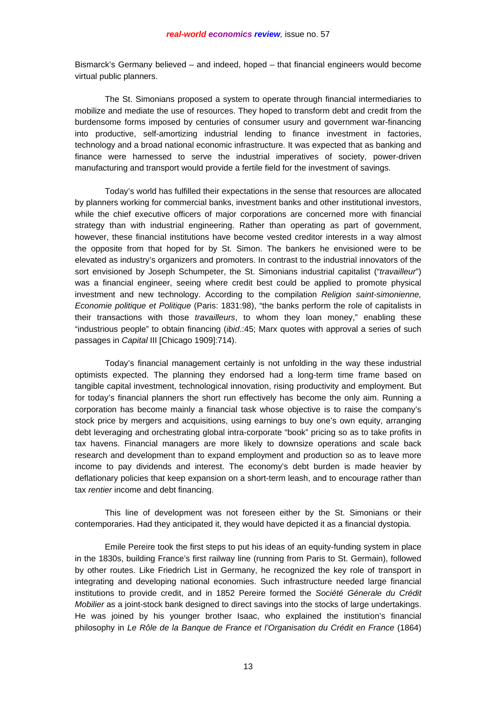Bismarck's Germany believed – and indeed, hoped – that financial engineers would become virtual public planners.

 The St. Simonians proposed a system to operate through financial intermediaries to mobilize and mediate the use of resources. They hoped to transform debt and credit from the burdensome forms imposed by centuries of consumer usury and government war-financing into productive, self-amortizing industrial lending to finance investment in factories, technology and a broad national economic infrastructure. It was expected that as banking and finance were harnessed to serve the industrial imperatives of society, power-driven manufacturing and transport would provide a fertile field for the investment of savings.

 Today's world has fulfilled their expectations in the sense that resources are allocated by planners working for commercial banks, investment banks and other institutional investors, while the chief executive officers of major corporations are concerned more with financial strategy than with industrial engineering. Rather than operating as part of government, however, these financial institutions have become vested creditor interests in a way almost the opposite from that hoped for by St. Simon. The bankers he envisioned were to be elevated as industry's organizers and promoters. In contrast to the industrial innovators of the sort envisioned by Joseph Schumpeter, the St. Simonians industrial capitalist ("*travailleur*") was a financial engineer, seeing where credit best could be applied to promote physical investment and new technology. According to the compilation *Religion saint-simonienne, Economie politique et Politique* (Paris: 1831:98), "the banks perform the role of capitalists in their transactions with those *travailleurs*, to whom they loan money," enabling these "industrious people" to obtain financing (*ibid*.:45; Marx quotes with approval a series of such passages in *Capital* III [Chicago 1909]:714).

 Today's financial management certainly is not unfolding in the way these industrial optimists expected. The planning they endorsed had a long-term time frame based on tangible capital investment, technological innovation, rising productivity and employment. But for today's financial planners the short run effectively has become the only aim. Running a corporation has become mainly a financial task whose objective is to raise the company's stock price by mergers and acquisitions, using earnings to buy one's own equity, arranging debt leveraging and orchestrating global intra-corporate "book" pricing so as to take profits in tax havens. Financial managers are more likely to downsize operations and scale back research and development than to expand employment and production so as to leave more income to pay dividends and interest. The economy's debt burden is made heavier by deflationary policies that keep expansion on a short-term leash, and to encourage rather than tax *rentier* income and debt financing.

 This line of development was not foreseen either by the St. Simonians or their contemporaries. Had they anticipated it, they would have depicted it as a financial dystopia.

 Emile Pereire took the first steps to put his ideas of an equity-funding system in place in the 1830s, building France's first railway line (running from Paris to St. Germain), followed by other routes. Like Friedrich List in Germany, he recognized the key role of transport in integrating and developing national economies. Such infrastructure needed large financial institutions to provide credit, and in 1852 Pereire formed the *Société Génerale du Crédit Mobilier* as a joint-stock bank designed to direct savings into the stocks of large undertakings. He was joined by his younger brother Isaac, who explained the institution's financial philosophy in *Le Rôle de la Banque de France et l'Organisation du Crédit en France* (1864)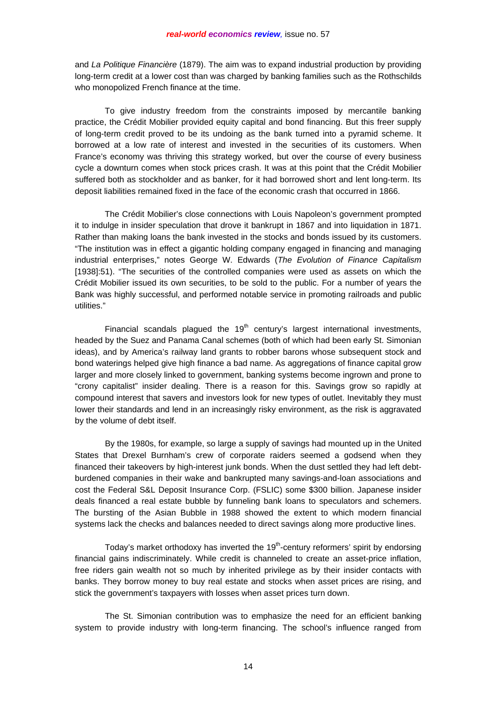and *La Politique Financière* (1879). The aim was to expand industrial production by providing long-term credit at a lower cost than was charged by banking families such as the Rothschilds who monopolized French finance at the time.

 To give industry freedom from the constraints imposed by mercantile banking practice, the Crédit Mobilier provided equity capital and bond financing. But this freer supply of long-term credit proved to be its undoing as the bank turned into a pyramid scheme. It borrowed at a low rate of interest and invested in the securities of its customers. When France's economy was thriving this strategy worked, but over the course of every business cycle a downturn comes when stock prices crash. It was at this point that the Crédit Mobilier suffered both as stockholder and as banker, for it had borrowed short and lent long-term. Its deposit liabilities remained fixed in the face of the economic crash that occurred in 1866.

 The Crédit Mobilier's close connections with Louis Napoleon's government prompted it to indulge in insider speculation that drove it bankrupt in 1867 and into liquidation in 1871. Rather than making loans the bank invested in the stocks and bonds issued by its customers. "The institution was in effect a gigantic holding company engaged in financing and managing industrial enterprises," notes George W. Edwards (*The Evolution of Finance Capitalism* [1938]:51). "The securities of the controlled companies were used as assets on which the Crédit Mobilier issued its own securities, to be sold to the public. For a number of years the Bank was highly successful, and performed notable service in promoting railroads and public utilities."

Financial scandals plagued the  $19<sup>th</sup>$  century's largest international investments, headed by the Suez and Panama Canal schemes (both of which had been early St. Simonian ideas), and by America's railway land grants to robber barons whose subsequent stock and bond waterings helped give high finance a bad name. As aggregations of finance capital grow larger and more closely linked to government, banking systems become ingrown and prone to "crony capitalist" insider dealing. There is a reason for this. Savings grow so rapidly at compound interest that savers and investors look for new types of outlet. Inevitably they must lower their standards and lend in an increasingly risky environment, as the risk is aggravated by the volume of debt itself.

 By the 1980s, for example, so large a supply of savings had mounted up in the United States that Drexel Burnham's crew of corporate raiders seemed a godsend when they financed their takeovers by high-interest junk bonds. When the dust settled they had left debtburdened companies in their wake and bankrupted many savings-and-loan associations and cost the Federal S&L Deposit Insurance Corp. (FSLIC) some \$300 billion. Japanese insider deals financed a real estate bubble by funneling bank loans to speculators and schemers. The bursting of the Asian Bubble in 1988 showed the extent to which modern financial systems lack the checks and balances needed to direct savings along more productive lines.

Today's market orthodoxy has inverted the  $19<sup>th</sup>$ -century reformers' spirit by endorsing financial gains indiscriminately. While credit is channeled to create an asset-price inflation, free riders gain wealth not so much by inherited privilege as by their insider contacts with banks. They borrow money to buy real estate and stocks when asset prices are rising, and stick the government's taxpayers with losses when asset prices turn down.

 The St. Simonian contribution was to emphasize the need for an efficient banking system to provide industry with long-term financing. The school's influence ranged from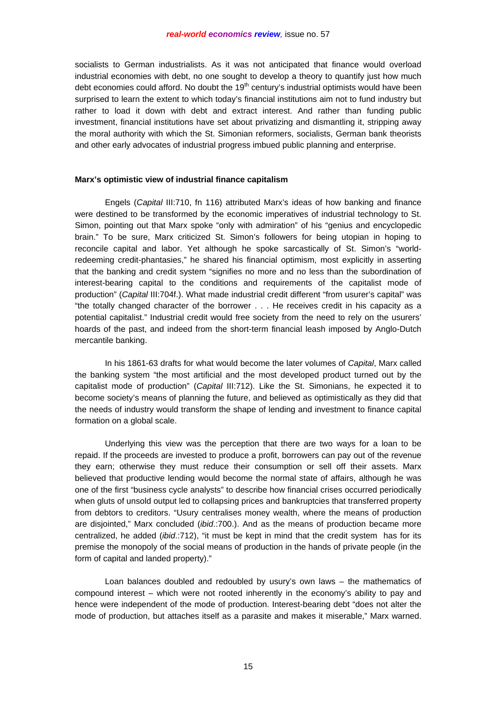socialists to German industrialists. As it was not anticipated that finance would overload industrial economies with debt, no one sought to develop a theory to quantify just how much debt economies could afford. No doubt the  $19<sup>th</sup>$  century's industrial optimists would have been surprised to learn the extent to which today's financial institutions aim not to fund industry but rather to load it down with debt and extract interest. And rather than funding public investment, financial institutions have set about privatizing and dismantling it, stripping away the moral authority with which the St. Simonian reformers, socialists, German bank theorists and other early advocates of industrial progress imbued public planning and enterprise.

#### **Marx's optimistic view of industrial finance capitalism**

 Engels (*Capital* III:710, fn 116) attributed Marx's ideas of how banking and finance were destined to be transformed by the economic imperatives of industrial technology to St. Simon, pointing out that Marx spoke "only with admiration" of his "genius and encyclopedic brain." To be sure, Marx criticized St. Simon's followers for being utopian in hoping to reconcile capital and labor. Yet although he spoke sarcastically of St. Simon's "worldredeeming credit-phantasies," he shared his financial optimism, most explicitly in asserting that the banking and credit system "signifies no more and no less than the subordination of interest-bearing capital to the conditions and requirements of the capitalist mode of production" (*Capital* III:704f.). What made industrial credit different "from usurer's capital" was "the totally changed character of the borrower . . . He receives credit in his capacity as a potential capitalist." Industrial credit would free society from the need to rely on the usurers' hoards of the past, and indeed from the short-term financial leash imposed by Anglo-Dutch mercantile banking.

 In his 1861-63 drafts for what would become the later volumes of *Capital*, Marx called the banking system "the most artificial and the most developed product turned out by the capitalist mode of production" (*Capital* III:712). Like the St. Simonians, he expected it to become society's means of planning the future, and believed as optimistically as they did that the needs of industry would transform the shape of lending and investment to finance capital formation on a global scale.

 Underlying this view was the perception that there are two ways for a loan to be repaid. If the proceeds are invested to produce a profit, borrowers can pay out of the revenue they earn; otherwise they must reduce their consumption or sell off their assets. Marx believed that productive lending would become the normal state of affairs, although he was one of the first "business cycle analysts" to describe how financial crises occurred periodically when gluts of unsold output led to collapsing prices and bankruptcies that transferred property from debtors to creditors. "Usury centralises money wealth, where the means of production are disjointed," Marx concluded (*ibid*.:700.). And as the means of production became more centralized, he added (*ibid*.:712), "it must be kept in mind that the credit system has for its premise the monopoly of the social means of production in the hands of private people (in the form of capital and landed property)."

 Loan balances doubled and redoubled by usury's own laws – the mathematics of compound interest – which were not rooted inherently in the economy's ability to pay and hence were independent of the mode of production. Interest-bearing debt "does not alter the mode of production, but attaches itself as a parasite and makes it miserable," Marx warned.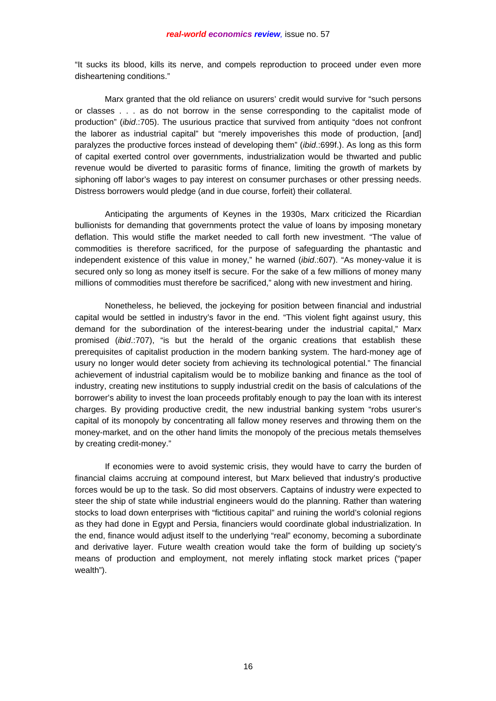"It sucks its blood, kills its nerve, and compels reproduction to proceed under even more disheartening conditions."

 Marx granted that the old reliance on usurers' credit would survive for "such persons or classes . . . as do not borrow in the sense corresponding to the capitalist mode of production" (*ibid*.:705). The usurious practice that survived from antiquity "does not confront the laborer as industrial capital" but "merely impoverishes this mode of production, [and] paralyzes the productive forces instead of developing them" (*ibid*.:699f.). As long as this form of capital exerted control over governments, industrialization would be thwarted and public revenue would be diverted to parasitic forms of finance, limiting the growth of markets by siphoning off labor's wages to pay interest on consumer purchases or other pressing needs. Distress borrowers would pledge (and in due course, forfeit) their collateral.

 Anticipating the arguments of Keynes in the 1930s, Marx criticized the Ricardian bullionists for demanding that governments protect the value of loans by imposing monetary deflation. This would stifle the market needed to call forth new investment. "The value of commodities is therefore sacrificed, for the purpose of safeguarding the phantastic and independent existence of this value in money," he warned (*ibid*.:607). "As money-value it is secured only so long as money itself is secure. For the sake of a few millions of money many millions of commodities must therefore be sacrificed," along with new investment and hiring.

 Nonetheless, he believed, the jockeying for position between financial and industrial capital would be settled in industry's favor in the end. "This violent fight against usury, this demand for the subordination of the interest-bearing under the industrial capital," Marx promised (*ibid*.:707), "is but the herald of the organic creations that establish these prerequisites of capitalist production in the modern banking system. The hard-money age of usury no longer would deter society from achieving its technological potential." The financial achievement of industrial capitalism would be to mobilize banking and finance as the tool of industry, creating new institutions to supply industrial credit on the basis of calculations of the borrower's ability to invest the loan proceeds profitably enough to pay the loan with its interest charges. By providing productive credit, the new industrial banking system "robs usurer's capital of its monopoly by concentrating all fallow money reserves and throwing them on the money-market, and on the other hand limits the monopoly of the precious metals themselves by creating credit-money."

 If economies were to avoid systemic crisis, they would have to carry the burden of financial claims accruing at compound interest, but Marx believed that industry's productive forces would be up to the task. So did most observers. Captains of industry were expected to steer the ship of state while industrial engineers would do the planning. Rather than watering stocks to load down enterprises with "fictitious capital" and ruining the world's colonial regions as they had done in Egypt and Persia, financiers would coordinate global industrialization. In the end, finance would adjust itself to the underlying "real" economy, becoming a subordinate and derivative layer. Future wealth creation would take the form of building up society's means of production and employment, not merely inflating stock market prices ("paper wealth").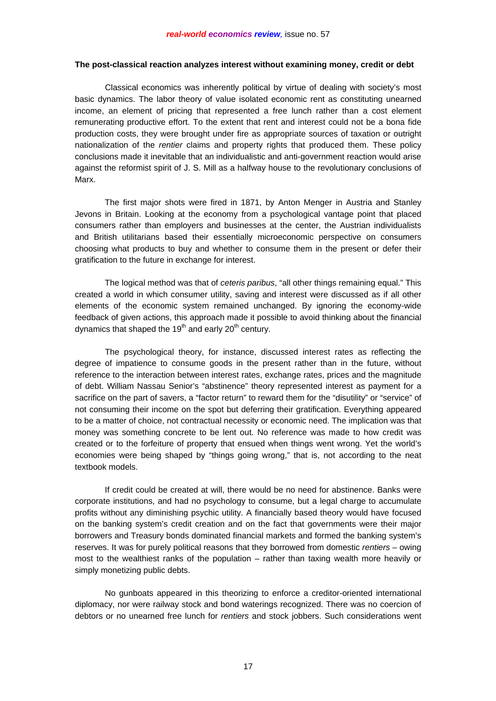#### **The post-classical reaction analyzes interest without examining money, credit or debt**

 Classical economics was inherently political by virtue of dealing with society's most basic dynamics. The labor theory of value isolated economic rent as constituting unearned income, an element of pricing that represented a free lunch rather than a cost element remunerating productive effort. To the extent that rent and interest could not be a bona fide production costs, they were brought under fire as appropriate sources of taxation or outright nationalization of the *rentier* claims and property rights that produced them. These policy conclusions made it inevitable that an individualistic and anti-government reaction would arise against the reformist spirit of J. S. Mill as a halfway house to the revolutionary conclusions of Marx.

 The first major shots were fired in 1871, by Anton Menger in Austria and Stanley Jevons in Britain. Looking at the economy from a psychological vantage point that placed consumers rather than employers and businesses at the center, the Austrian individualists and British utilitarians based their essentially microeconomic perspective on consumers choosing what products to buy and whether to consume them in the present or defer their gratification to the future in exchange for interest.

 The logical method was that of *ceteris paribus*, "all other things remaining equal." This created a world in which consumer utility, saving and interest were discussed as if all other elements of the economic system remained unchanged. By ignoring the economy-wide feedback of given actions, this approach made it possible to avoid thinking about the financial dynamics that shaped the  $19<sup>th</sup>$  and early 20<sup>th</sup> century.

 The psychological theory, for instance, discussed interest rates as reflecting the degree of impatience to consume goods in the present rather than in the future, without reference to the interaction between interest rates, exchange rates, prices and the magnitude of debt. William Nassau Senior's "abstinence" theory represented interest as payment for a sacrifice on the part of savers, a "factor return" to reward them for the "disutility" or "service" of not consuming their income on the spot but deferring their gratification. Everything appeared to be a matter of choice, not contractual necessity or economic need. The implication was that money was something concrete to be lent out. No reference was made to how credit was created or to the forfeiture of property that ensued when things went wrong. Yet the world's economies were being shaped by "things going wrong," that is, not according to the neat textbook models.

 If credit could be created at will, there would be no need for abstinence. Banks were corporate institutions, and had no psychology to consume, but a legal charge to accumulate profits without any diminishing psychic utility. A financially based theory would have focused on the banking system's credit creation and on the fact that governments were their major borrowers and Treasury bonds dominated financial markets and formed the banking system's reserves. It was for purely political reasons that they borrowed from domestic *rentiers* – owing most to the wealthiest ranks of the population – rather than taxing wealth more heavily or simply monetizing public debts.

 No gunboats appeared in this theorizing to enforce a creditor-oriented international diplomacy, nor were railway stock and bond waterings recognized. There was no coercion of debtors or no unearned free lunch for *rentiers* and stock jobbers. Such considerations went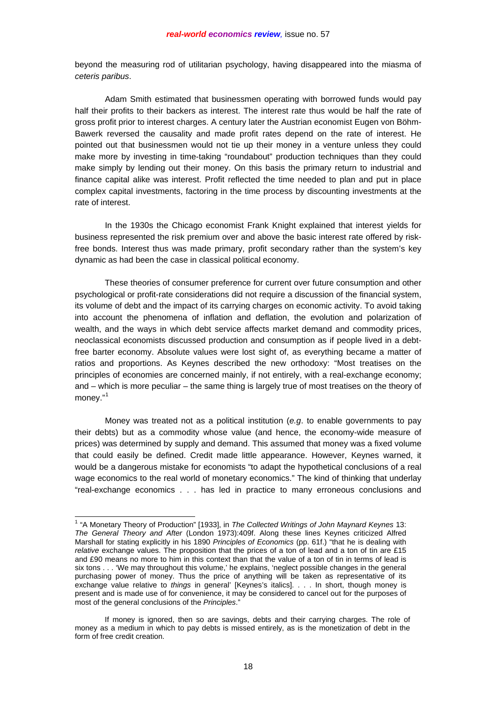beyond the measuring rod of utilitarian psychology, having disappeared into the miasma of *ceteris paribus*.

 Adam Smith estimated that businessmen operating with borrowed funds would pay half their profits to their backers as interest. The interest rate thus would be half the rate of gross profit prior to interest charges. A century later the Austrian economist Eugen von Böhm-Bawerk reversed the causality and made profit rates depend on the rate of interest. He pointed out that businessmen would not tie up their money in a venture unless they could make more by investing in time-taking "roundabout" production techniques than they could make simply by lending out their money. On this basis the primary return to industrial and finance capital alike was interest. Profit reflected the time needed to plan and put in place complex capital investments, factoring in the time process by discounting investments at the rate of interest.

 In the 1930s the Chicago economist Frank Knight explained that interest yields for business represented the risk premium over and above the basic interest rate offered by riskfree bonds. Interest thus was made primary, profit secondary rather than the system's key dynamic as had been the case in classical political economy.

 These theories of consumer preference for current over future consumption and other psychological or profit-rate considerations did not require a discussion of the financial system, its volume of debt and the impact of its carrying charges on economic activity. To avoid taking into account the phenomena of inflation and deflation, the evolution and polarization of wealth, and the ways in which debt service affects market demand and commodity prices, neoclassical economists discussed production and consumption as if people lived in a debtfree barter economy. Absolute values were lost sight of, as everything became a matter of ratios and proportions. As Keynes described the new orthodoxy: "Most treatises on the principles of economies are concerned mainly, if not entirely, with a real-exchange economy; and – which is more peculiar – the same thing is largely true of most treatises on the theory of money."<sup>[1](#page-16-0)</sup>

 Money was treated not as a political institution (*e.g*. to enable governments to pay their debts) but as a commodity whose value (and hence, the economy-wide measure of prices) was determined by supply and demand. This assumed that money was a fixed volume that could easily be defined. Credit made little appearance. However, Keynes warned, it would be a dangerous mistake for economists "to adapt the hypothetical conclusions of a real wage economics to the real world of monetary economics." The kind of thinking that underlay "real-exchange economics . . . has led in practice to many erroneous conclusions and

<span id="page-16-0"></span> 1 "A Monetary Theory of Production" [1933], in *The Collected Writings of John Maynard Keynes* 13: *The General Theory and After* (London 1973):409f. Along these lines Keynes criticized Alfred Marshall for stating explicitly in his 1890 *Principles of Economics* (pp. 61f.) "that he is dealing with *relative* exchange values. The proposition that the prices of a ton of lead and a ton of tin are £15 and £90 means no more to him in this context than that the value of a ton of tin in terms of lead is six tons . . . 'We may throughout this volume,' he explains, 'neglect possible changes in the general purchasing power of money. Thus the price of anything will be taken as representative of its exchange value relative to *things* in general' [Keynes's italics]. . . . In short, though money is present and is made use of for convenience, it may be considered to cancel out for the purposes of most of the general conclusions of the *Principles*."

If money is ignored, then so are savings, debts and their carrying charges. The role of money as a medium in which to pay debts is missed entirely, as is the monetization of debt in the form of free credit creation.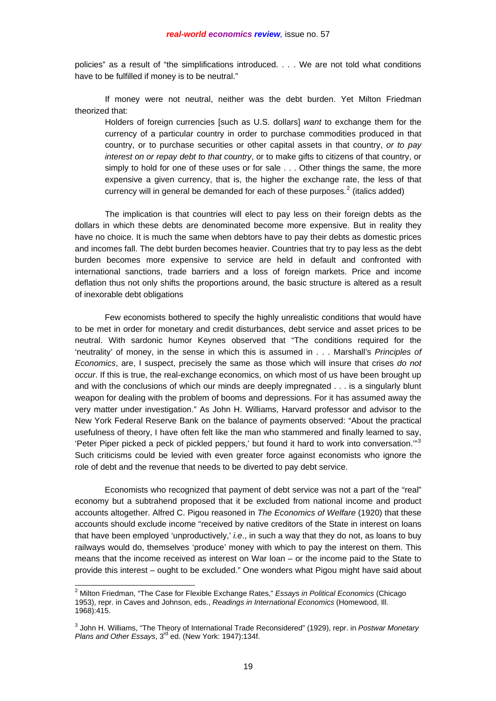policies" as a result of "the simplifications introduced. . . . We are not told what conditions have to be fulfilled if money is to be neutral."

 If money were not neutral, neither was the debt burden. Yet Milton Friedman theorized that:

Holders of foreign currencies [such as U.S. dollars] *want* to exchange them for the currency of a particular country in order to purchase commodities produced in that country, or to purchase securities or other capital assets in that country, *or to pay interest on or repay debt to that country*, or to make gifts to citizens of that country, or simply to hold for one of these uses or for sale . . . Other things the same, the more expensive a given currency, that is, the higher the exchange rate, the less of that currency will in general be demanded for each of these purposes.<sup>[2](#page-17-0)</sup> (italics added)

 The implication is that countries will elect to pay less on their foreign debts as the dollars in which these debts are denominated become more expensive. But in reality they have no choice. It is much the same when debtors have to pay their debts as domestic prices and incomes fall. The debt burden becomes heavier. Countries that try to pay less as the debt burden becomes more expensive to service are held in default and confronted with international sanctions, trade barriers and a loss of foreign markets. Price and income deflation thus not only shifts the proportions around, the basic structure is altered as a result of inexorable debt obligations

 Few economists bothered to specify the highly unrealistic conditions that would have to be met in order for monetary and credit disturbances, debt service and asset prices to be neutral. With sardonic humor Keynes observed that "The conditions required for the 'neutrality' of money, in the sense in which this is assumed in . . . Marshall's *Principles of Economics*, are, I suspect, precisely the same as those which will insure that crises *do not occur*. If this is true, the real-exchange economics, on which most of us have been brought up and with the conclusions of which our minds are deeply impregnated . . . is a singularly blunt weapon for dealing with the problem of booms and depressions. For it has assumed away the very matter under investigation." As John H. Williams, Harvard professor and advisor to the New York Federal Reserve Bank on the balance of payments observed: "About the practical usefulness of theory, I have often felt like the man who stammered and finally learned to say, 'Peter Piper picked a peck of pickled peppers,' but found it hard to work into conversation.'"[3](#page-17-1) Such criticisms could be levied with even greater force against economists who ignore the role of debt and the revenue that needs to be diverted to pay debt service.

 Economists who recognized that payment of debt service was not a part of the "real" economy but a subtrahend proposed that it be excluded from national income and product accounts altogether. Alfred C. Pigou reasoned in *The Economics of Welfare* (1920) that these accounts should exclude income "received by native creditors of the State in interest on loans that have been employed 'unproductively,' *i.e*., in such a way that they do not, as loans to buy railways would do, themselves 'produce' money with which to pay the interest on them. This means that the income received as interest on War loan – or the income paid to the State to provide this interest – ought to be excluded." One wonders what Pigou might have said about

<span id="page-17-0"></span> 2 Milton Friedman, "The Case for Flexible Exchange Rates," *Essays in Political Economics* (Chicago 1953), repr. in Caves and Johnson, eds., *Readings in International Economics* (Homewood, Ill. 1968):415.

<span id="page-17-1"></span><sup>3</sup> John H. Williams, "The Theory of International Trade Reconsidered" (1929), repr. in *Postwar Monetary*  Plans and Other Essays, 3<sup>rd</sup> ed. (New York: 1947):134f.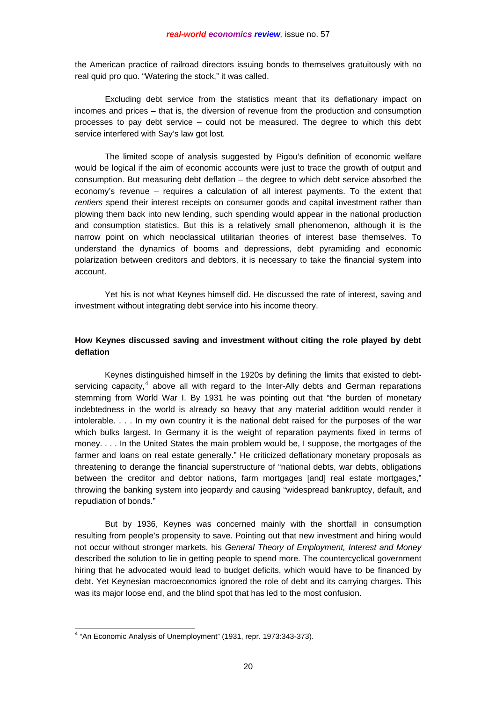the American practice of railroad directors issuing bonds to themselves gratuitously with no real quid pro quo. "Watering the stock," it was called.

 Excluding debt service from the statistics meant that its deflationary impact on incomes and prices – that is, the diversion of revenue from the production and consumption processes to pay debt service – could not be measured. The degree to which this debt service interfered with Say's law got lost.

 The limited scope of analysis suggested by Pigou's definition of economic welfare would be logical if the aim of economic accounts were just to trace the growth of output and consumption. But measuring debt deflation – the degree to which debt service absorbed the economy's revenue – requires a calculation of all interest payments. To the extent that *rentiers* spend their interest receipts on consumer goods and capital investment rather than plowing them back into new lending, such spending would appear in the national production and consumption statistics. But this is a relatively small phenomenon, although it is the narrow point on which neoclassical utilitarian theories of interest base themselves. To understand the dynamics of booms and depressions, debt pyramiding and economic polarization between creditors and debtors, it is necessary to take the financial system into account.

 Yet his is not what Keynes himself did. He discussed the rate of interest, saving and investment without integrating debt service into his income theory.

## **How Keynes discussed saving and investment without citing the role played by debt deflation**

 Keynes distinguished himself in the 1920s by defining the limits that existed to debt-servicing capacity,<sup>[4](#page-18-0)</sup> above all with regard to the Inter-Ally debts and German reparations stemming from World War I. By 1931 he was pointing out that "the burden of monetary indebtedness in the world is already so heavy that any material addition would render it intolerable. . . . In my own country it is the national debt raised for the purposes of the war which bulks largest. In Germany it is the weight of reparation payments fixed in terms of money. . . . In the United States the main problem would be, I suppose, the mortgages of the farmer and loans on real estate generally." He criticized deflationary monetary proposals as threatening to derange the financial superstructure of "national debts, war debts, obligations between the creditor and debtor nations, farm mortgages [and] real estate mortgages," throwing the banking system into jeopardy and causing "widespread bankruptcy, default, and repudiation of bonds."

 But by 1936, Keynes was concerned mainly with the shortfall in consumption resulting from people's propensity to save. Pointing out that new investment and hiring would not occur without stronger markets, his *General Theory of Employment, Interest and Money*  described the solution to lie in getting people to spend more. The countercyclical government hiring that he advocated would lead to budget deficits, which would have to be financed by debt. Yet Keynesian macroeconomics ignored the role of debt and its carrying charges. This was its major loose end, and the blind spot that has led to the most confusion.

<span id="page-18-0"></span> 4 "An Economic Analysis of Unemployment" (1931, repr. 1973:343-373).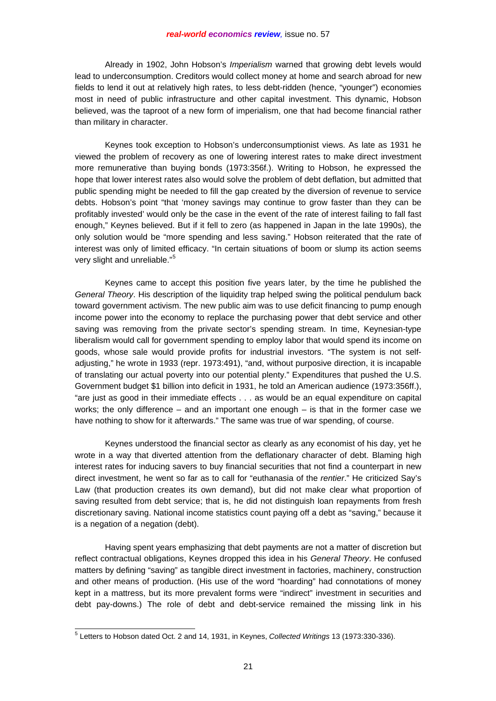Already in 1902, John Hobson's *Imperialism* warned that growing debt levels would lead to underconsumption. Creditors would collect money at home and search abroad for new fields to lend it out at relatively high rates, to less debt-ridden (hence, "younger") economies most in need of public infrastructure and other capital investment. This dynamic, Hobson believed, was the taproot of a new form of imperialism, one that had become financial rather than military in character.

 Keynes took exception to Hobson's underconsumptionist views. As late as 1931 he viewed the problem of recovery as one of lowering interest rates to make direct investment more remunerative than buying bonds (1973:356f.). Writing to Hobson, he expressed the hope that lower interest rates also would solve the problem of debt deflation, but admitted that public spending might be needed to fill the gap created by the diversion of revenue to service debts. Hobson's point "that 'money savings may continue to grow faster than they can be profitably invested' would only be the case in the event of the rate of interest failing to fall fast enough," Keynes believed. But if it fell to zero (as happened in Japan in the late 1990s), the only solution would be "more spending and less saving." Hobson reiterated that the rate of interest was only of limited efficacy. "In certain situations of boom or slump its action seems very slight and unreliable."<sup>[5](#page-19-0)</sup>

 Keynes came to accept this position five years later, by the time he published the *General Theory*. His description of the liquidity trap helped swing the political pendulum back toward government activism. The new public aim was to use deficit financing to pump enough income power into the economy to replace the purchasing power that debt service and other saving was removing from the private sector's spending stream. In time, Keynesian-type liberalism would call for government spending to employ labor that would spend its income on goods, whose sale would provide profits for industrial investors. "The system is not selfadjusting," he wrote in 1933 (repr. 1973:491), "and, without purposive direction, it is incapable of translating our actual poverty into our potential plenty." Expenditures that pushed the U.S. Government budget \$1 billion into deficit in 1931, he told an American audience (1973:356ff.), "are just as good in their immediate effects . . . as would be an equal expenditure on capital works; the only difference – and an important one enough – is that in the former case we have nothing to show for it afterwards." The same was true of war spending, of course.

 Keynes understood the financial sector as clearly as any economist of his day, yet he wrote in a way that diverted attention from the deflationary character of debt. Blaming high interest rates for inducing savers to buy financial securities that not find a counterpart in new direct investment, he went so far as to call for "euthanasia of the *rentier*." He criticized Say's Law (that production creates its own demand), but did not make clear what proportion of saving resulted from debt service; that is, he did not distinguish loan repayments from fresh discretionary saving. National income statistics count paying off a debt as "saving," because it is a negation of a negation (debt).

 Having spent years emphasizing that debt payments are not a matter of discretion but reflect contractual obligations, Keynes dropped this idea in his *General Theory*. He confused matters by defining "saving" as tangible direct investment in factories, machinery, construction and other means of production. (His use of the word "hoarding" had connotations of money kept in a mattress, but its more prevalent forms were "indirect" investment in securities and debt pay-downs.) The role of debt and debt-service remained the missing link in his

<span id="page-19-0"></span> 5 Letters to Hobson dated Oct. 2 and 14, 1931, in Keynes, *Collected Writings* 13 (1973:330-336).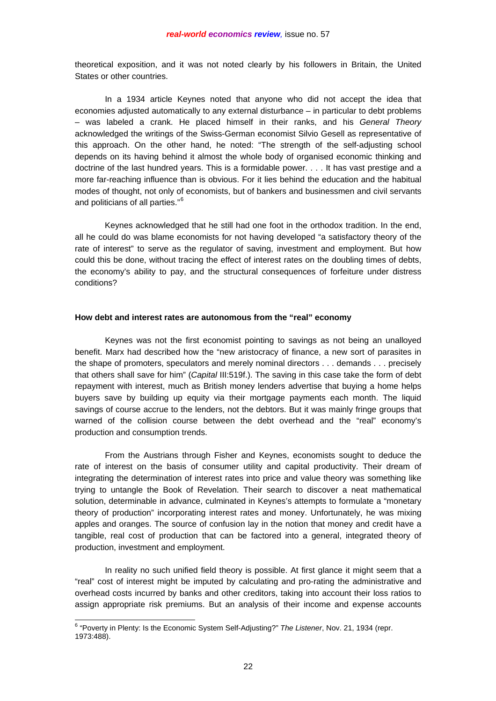theoretical exposition, and it was not noted clearly by his followers in Britain, the United States or other countries.

 In a 1934 article Keynes noted that anyone who did not accept the idea that economies adjusted automatically to any external disturbance – in particular to debt problems – was labeled a crank. He placed himself in their ranks, and his *General Theory* acknowledged the writings of the Swiss-German economist Silvio Gesell as representative of this approach. On the other hand, he noted: "The strength of the self-adjusting school depends on its having behind it almost the whole body of organised economic thinking and doctrine of the last hundred years. This is a formidable power. . . . It has vast prestige and a more far-reaching influence than is obvious. For it lies behind the education and the habitual modes of thought, not only of economists, but of bankers and businessmen and civil servants and politicians of all parties."<sup>[6](#page-20-0)</sup>

 Keynes acknowledged that he still had one foot in the orthodox tradition. In the end, all he could do was blame economists for not having developed "a satisfactory theory of the rate of interest" to serve as the regulator of saving, investment and employment. But how could this be done, without tracing the effect of interest rates on the doubling times of debts, the economy's ability to pay, and the structural consequences of forfeiture under distress conditions?

#### **How debt and interest rates are autonomous from the "real" economy**

 Keynes was not the first economist pointing to savings as not being an unalloyed benefit. Marx had described how the "new aristocracy of finance, a new sort of parasites in the shape of promoters, speculators and merely nominal directors . . . demands . . . precisely that others shall save for him" (*Capital* III:519f.). The saving in this case take the form of debt repayment with interest, much as British money lenders advertise that buying a home helps buyers save by building up equity via their mortgage payments each month. The liquid savings of course accrue to the lenders, not the debtors. But it was mainly fringe groups that warned of the collision course between the debt overhead and the "real" economy's production and consumption trends.

 From the Austrians through Fisher and Keynes, economists sought to deduce the rate of interest on the basis of consumer utility and capital productivity. Their dream of integrating the determination of interest rates into price and value theory was something like trying to untangle the Book of Revelation. Their search to discover a neat mathematical solution, determinable in advance, culminated in Keynes's attempts to formulate a "monetary theory of production" incorporating interest rates and money. Unfortunately, he was mixing apples and oranges. The source of confusion lay in the notion that money and credit have a tangible, real cost of production that can be factored into a general, integrated theory of production, investment and employment.

 In reality no such unified field theory is possible. At first glance it might seem that a "real" cost of interest might be imputed by calculating and pro-rating the administrative and overhead costs incurred by banks and other creditors, taking into account their loss ratios to assign appropriate risk premiums. But an analysis of their income and expense accounts

<span id="page-20-0"></span> 6 "Poverty in Plenty: Is the Economic System Self-Adjusting?" *The Listener*, Nov. 21, 1934 (repr. 1973:488).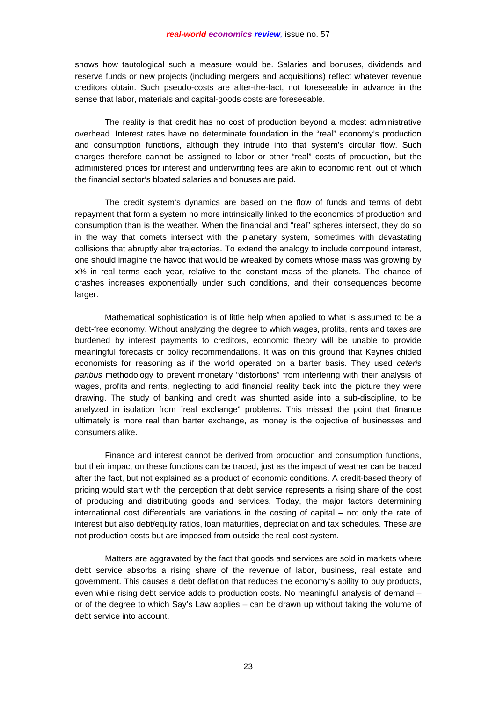shows how tautological such a measure would be. Salaries and bonuses, dividends and reserve funds or new projects (including mergers and acquisitions) reflect whatever revenue creditors obtain. Such pseudo-costs are after-the-fact, not foreseeable in advance in the sense that labor, materials and capital-goods costs are foreseeable.

 The reality is that credit has no cost of production beyond a modest administrative overhead. Interest rates have no determinate foundation in the "real" economy's production and consumption functions, although they intrude into that system's circular flow. Such charges therefore cannot be assigned to labor or other "real" costs of production, but the administered prices for interest and underwriting fees are akin to economic rent, out of which the financial sector's bloated salaries and bonuses are paid.

 The credit system's dynamics are based on the flow of funds and terms of debt repayment that form a system no more intrinsically linked to the economics of production and consumption than is the weather. When the financial and "real" spheres intersect, they do so in the way that comets intersect with the planetary system, sometimes with devastating collisions that abruptly alter trajectories. To extend the analogy to include compound interest, one should imagine the havoc that would be wreaked by comets whose mass was growing by x% in real terms each year, relative to the constant mass of the planets. The chance of crashes increases exponentially under such conditions, and their consequences become larger.

 Mathematical sophistication is of little help when applied to what is assumed to be a debt-free economy. Without analyzing the degree to which wages, profits, rents and taxes are burdened by interest payments to creditors, economic theory will be unable to provide meaningful forecasts or policy recommendations. It was on this ground that Keynes chided economists for reasoning as if the world operated on a barter basis. They used *ceteris paribus* methodology to prevent monetary "distortions" from interfering with their analysis of wages, profits and rents, neglecting to add financial reality back into the picture they were drawing. The study of banking and credit was shunted aside into a sub-discipline, to be analyzed in isolation from "real exchange" problems. This missed the point that finance ultimately is more real than barter exchange, as money is the objective of businesses and consumers alike.

 Finance and interest cannot be derived from production and consumption functions, but their impact on these functions can be traced, just as the impact of weather can be traced after the fact, but not explained as a product of economic conditions. A credit-based theory of pricing would start with the perception that debt service represents a rising share of the cost of producing and distributing goods and services. Today, the major factors determining international cost differentials are variations in the costing of capital – not only the rate of interest but also debt/equity ratios, loan maturities, depreciation and tax schedules. These are not production costs but are imposed from outside the real-cost system.

 Matters are aggravated by the fact that goods and services are sold in markets where debt service absorbs a rising share of the revenue of labor, business, real estate and government. This causes a debt deflation that reduces the economy's ability to buy products, even while rising debt service adds to production costs. No meaningful analysis of demand – or of the degree to which Say's Law applies – can be drawn up without taking the volume of debt service into account.